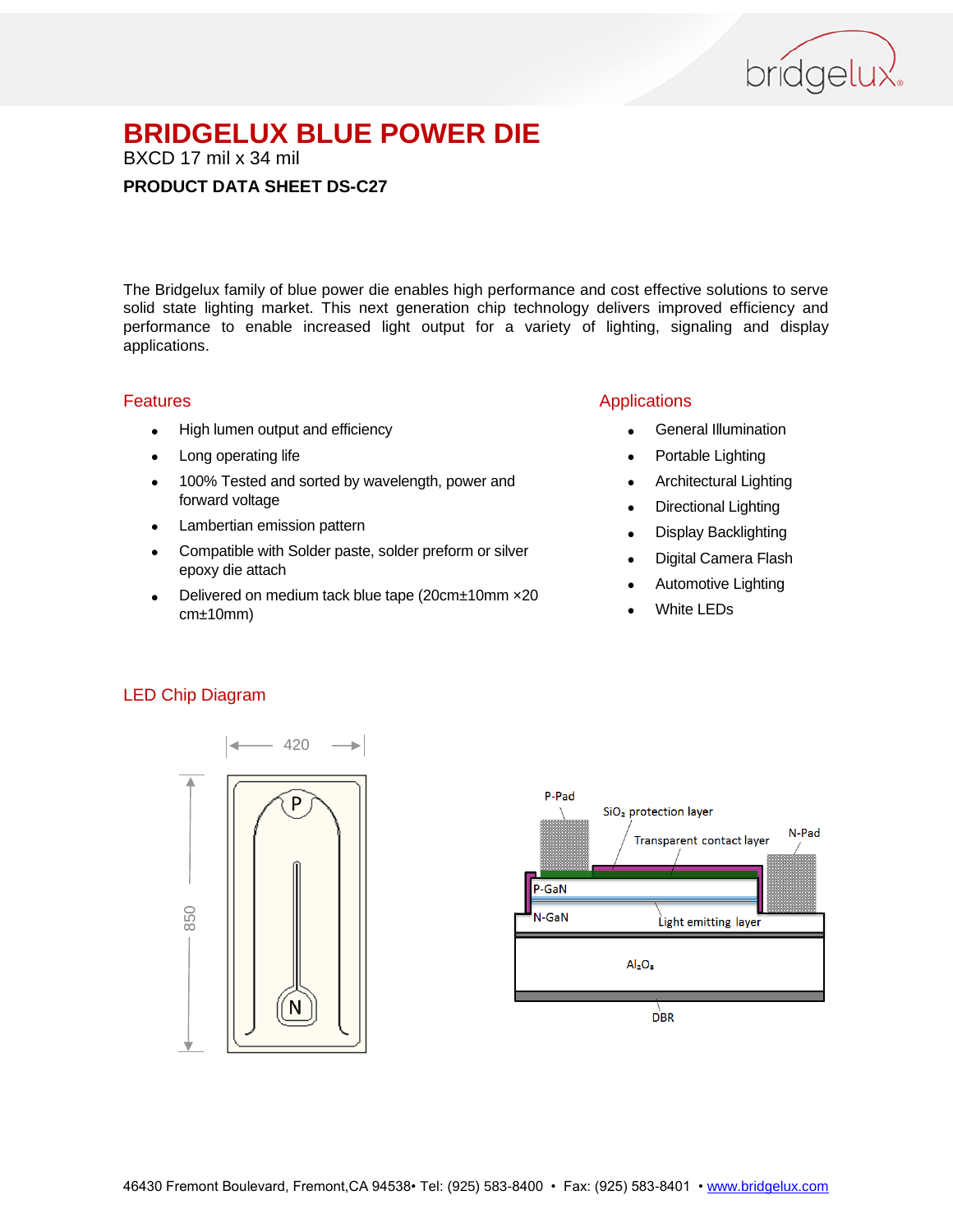

BXCD 17 mil x 34 mil

#### **PRODUCT DATA SHEET DS-C27**

The Bridgelux family of blue power die enables high performance and cost effective solutions to serve solid state lighting market. This next generation chip technology delivers improved efficiency and performance to enable increased light output for a variety of lighting, signaling and display applications.

#### Features

- High lumen output and efficiency
- Long operating life
- 100% Tested and sorted by wavelength, power and forward voltage
- Lambertian emission pattern
- Compatible with Solder paste, solder preform or silver epoxy die attach
- Delivered on medium tack blue tape (20cm±10mm ×20 cm±10mm)

## Applications

- General Illumination
- Portable Lighting
- Architectural Lighting
- Directional Lighting
- Display Backlighting
- Digital Camera Flash
- Automotive Lighting
- White LEDs

#### LED Chip Diagram



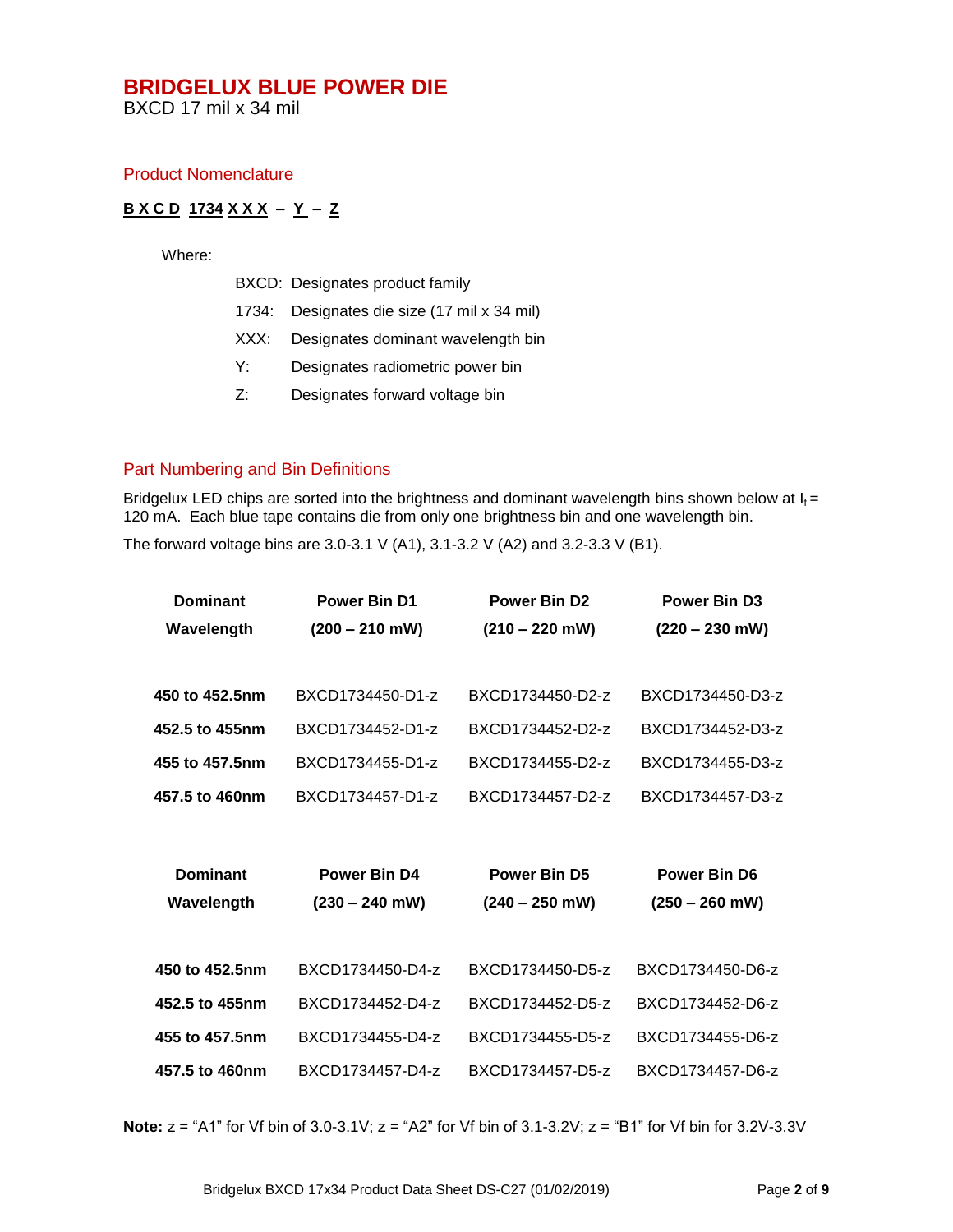BXCD 17 mil x 34 mil

#### Product Nomenclature

#### **B X C D 1734 X X X – Y – Z**

Where:

- BXCD: Designates product family
- 1734: Designates die size (17 mil x 34 mil)
- XXX: Designates dominant wavelength bin
- Y: Designates radiometric power bin
- Z: Designates forward voltage bin

#### Part Numbering and Bin Definitions

Bridgelux LED chips are sorted into the brightness and dominant wavelength bins shown below at  $I_f =$ 120 mA. Each blue tape contains die from only one brightness bin and one wavelength bin.

The forward voltage bins are 3.0-3.1 V (A1), 3.1-3.2 V (A2) and 3.2-3.3 V (B1).

| <b>Dominant</b> | <b>Power Bin D1</b> | <b>Power Bin D2</b> | <b>Power Bin D3</b> |
|-----------------|---------------------|---------------------|---------------------|
| Wavelength      | $(200 - 210$ mW)    | $(210 - 220$ mW)    | $(220 - 230$ mW)    |
|                 |                     |                     |                     |
| 450 to 452.5nm  | BXCD1734450-D1-z    | BXCD1734450-D2-z    | BXCD1734450-D3-z    |
| 452.5 to 455nm  | BXCD1734452-D1-z    | BXCD1734452-D2-z    | BXCD1734452-D3-z    |
| 455 to 457.5nm  | BXCD1734455-D1-z    | BXCD1734455-D2-z    | BXCD1734455-D3-z    |
| 457.5 to 460nm  | BXCD1734457-D1-z    | BXCD1734457-D2-z    | BXCD1734457-D3-z    |
|                 |                     |                     |                     |
|                 |                     |                     |                     |
| <b>Dominant</b> | Power Bin D4        | <b>Power Bin D5</b> | <b>Power Bin D6</b> |
| Wavelength      | $(230 - 240$ mW)    | $(240 - 250$ mW)    | $(250 - 260$ mW)    |
|                 |                     |                     |                     |
| 450 to 452.5nm  | BXCD1734450-D4-z    | BXCD1734450-D5-z    | BXCD1734450-D6-z    |
| 452.5 to 455nm  | BXCD1734452-D4-z    | BXCD1734452-D5-z    | BXCD1734452-D6-z    |
| 455 to 457.5nm  | BXCD1734455-D4-z    | BXCD1734455-D5-z    | BXCD1734455-D6-z    |
| 457.5 to 460nm  | BXCD1734457-D4-z    | BXCD1734457-D5-z    | BXCD1734457-D6-z    |

**Note:**  $z = "A1"$  for Vf bin of 3.0-3.1V;  $z = "A2"$  for Vf bin of 3.1-3.2V;  $z = "B1"$  for Vf bin for 3.2V-3.3V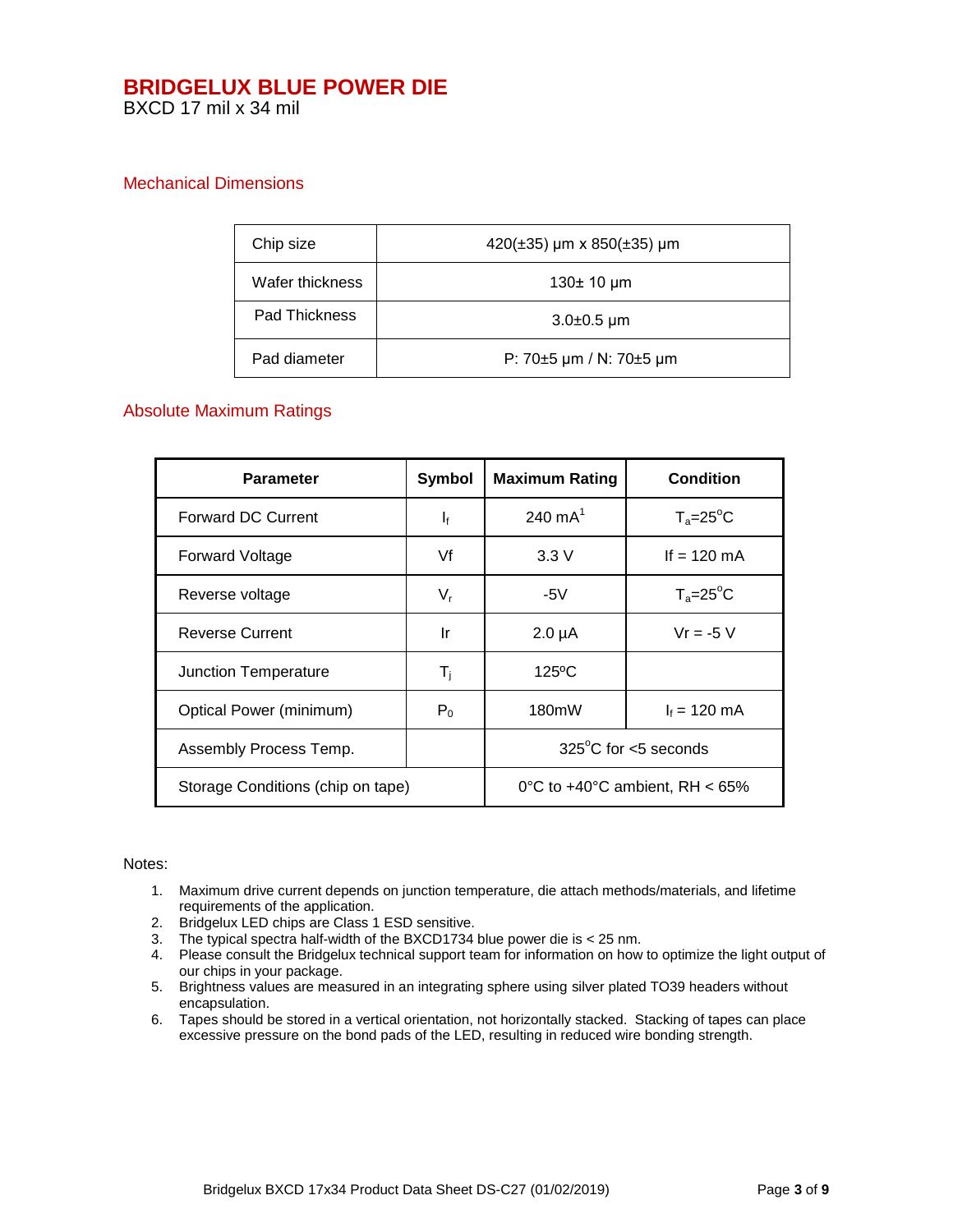## Mechanical Dimensions

| Chip size                                       | $420(\pm 35)$ µm x 850( $\pm 35$ ) µm |  |
|-------------------------------------------------|---------------------------------------|--|
| Wafer thickness                                 | 130 $±$ 10 $µm$                       |  |
| Pad Thickness                                   | $3.0\pm0.5 \,\mu m$                   |  |
| P: $70\pm5$ µm / N: $70\pm5$ µm<br>Pad diameter |                                       |  |

#### Absolute Maximum Ratings

| <b>Parameter</b>                  | <b>Symbol</b>             | <b>Maximum Rating</b>                       | <b>Condition</b>   |
|-----------------------------------|---------------------------|---------------------------------------------|--------------------|
| <b>Forward DC Current</b>         | $\mathbf{I}_{\mathbf{f}}$ | 240 $mA^1$                                  | $T_a = 25^\circ C$ |
| <b>Forward Voltage</b>            | Vf                        | 3.3V                                        | If $= 120$ mA      |
| Reverse voltage                   | $V_r$                     | -5V                                         | $T_a = 25^\circ C$ |
| <b>Reverse Current</b>            | Ir                        | $2.0 \mu A$                                 | $Vr = -5V$         |
| Junction Temperature              | T <sub>i</sub>            | $125^{\circ}$ C                             |                    |
| Optical Power (minimum)           | $P_0$                     | 180mW                                       | $I_f = 120$ mA     |
| Assembly Process Temp.            |                           | $325^{\circ}$ C for <5 seconds              |                    |
| Storage Conditions (chip on tape) |                           | 0°C to $+40^{\circ}$ C ambient, RH $< 65\%$ |                    |

#### Notes:

- 1. Maximum drive current depends on junction temperature, die attach methods/materials, and lifetime requirements of the application.
- 2. Bridgelux LED chips are Class 1 ESD sensitive.
- 3. The typical spectra half-width of the BXCD1734 blue power die is < 25 nm.
- 4. Please consult the Bridgelux technical support team for information on how to optimize the light output of our chips in your package.
- 5. Brightness values are measured in an integrating sphere using silver plated TO39 headers without encapsulation.
- 6. Tapes should be stored in a vertical orientation, not horizontally stacked. Stacking of tapes can place excessive pressure on the bond pads of the LED, resulting in reduced wire bonding strength.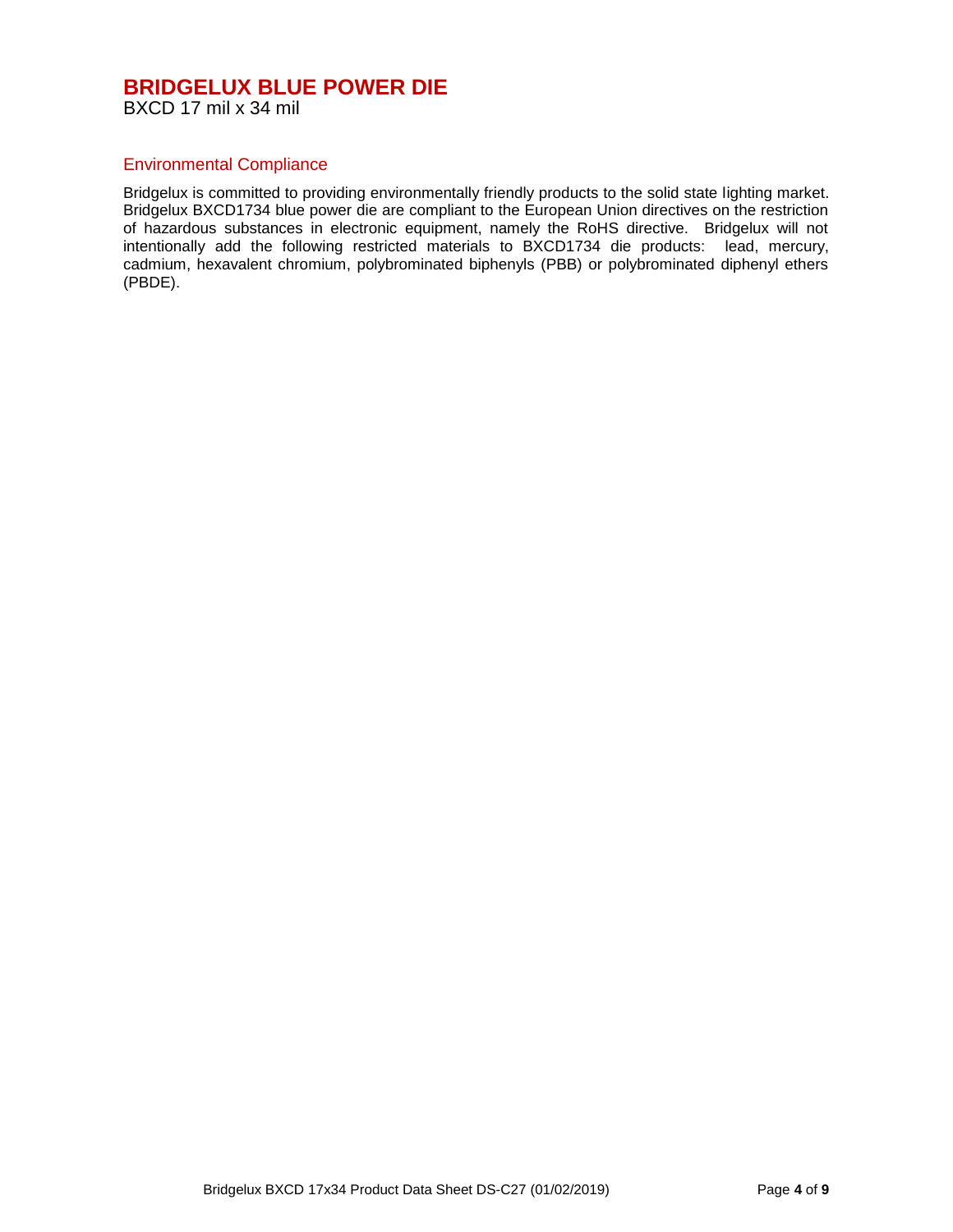#### Environmental Compliance

Bridgelux is committed to providing environmentally friendly products to the solid state lighting market. Bridgelux BXCD1734 blue power die are compliant to the European Union directives on the restriction of hazardous substances in electronic equipment, namely the RoHS directive. Bridgelux will not intentionally add the following restricted materials to BXCD1734 die products: lead, mercury, cadmium, hexavalent chromium, polybrominated biphenyls (PBB) or polybrominated diphenyl ethers (PBDE).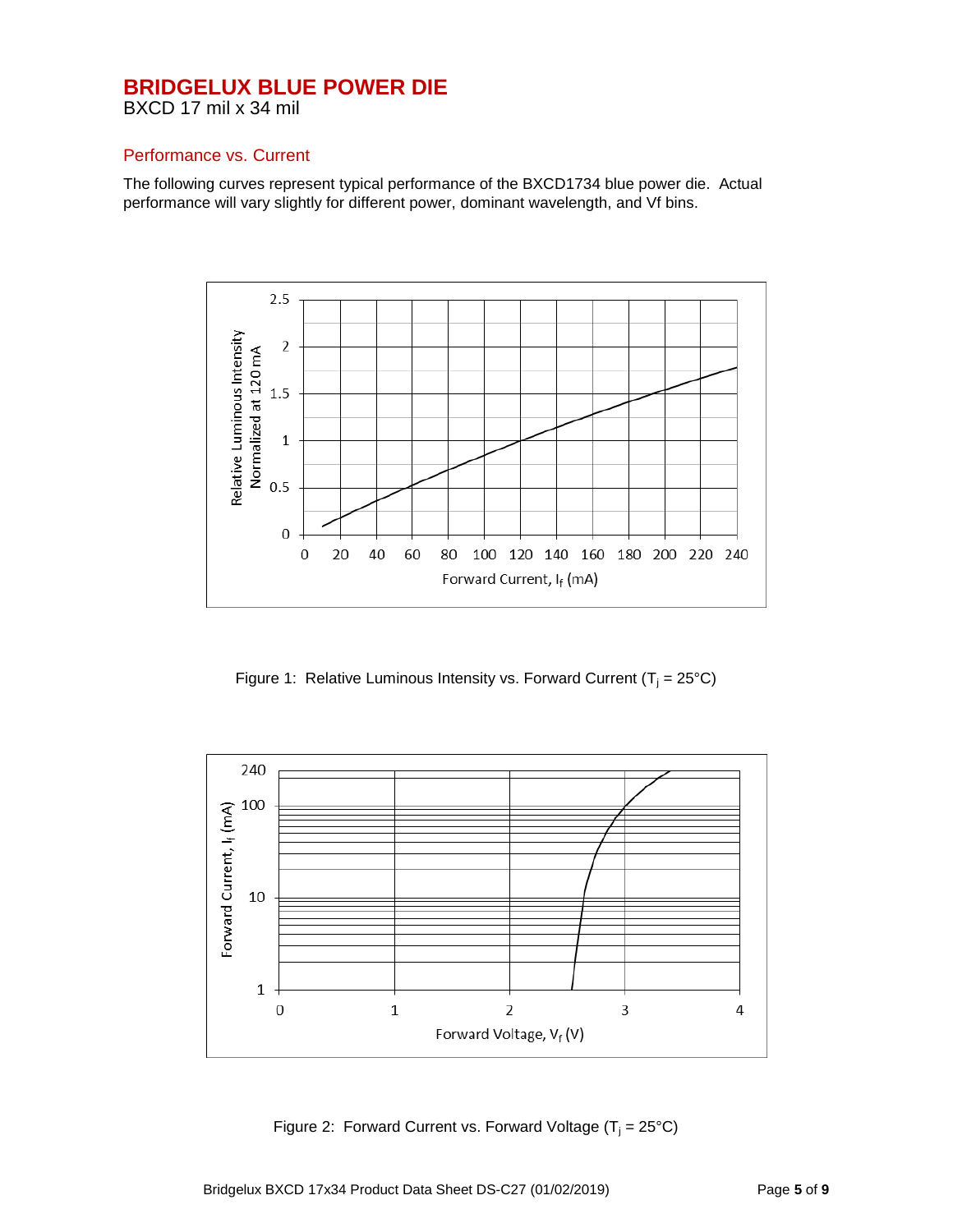BXCD 17 mil x 34 mil

#### Performance vs. Current

The following curves represent typical performance of the BXCD1734 blue power die. Actual performance will vary slightly for different power, dominant wavelength, and Vf bins.



Figure 1: Relative Luminous Intensity vs. Forward Current ( $T_i = 25^{\circ}C$ )



Figure 2: Forward Current vs. Forward Voltage  $(T_i = 25^{\circ}C)$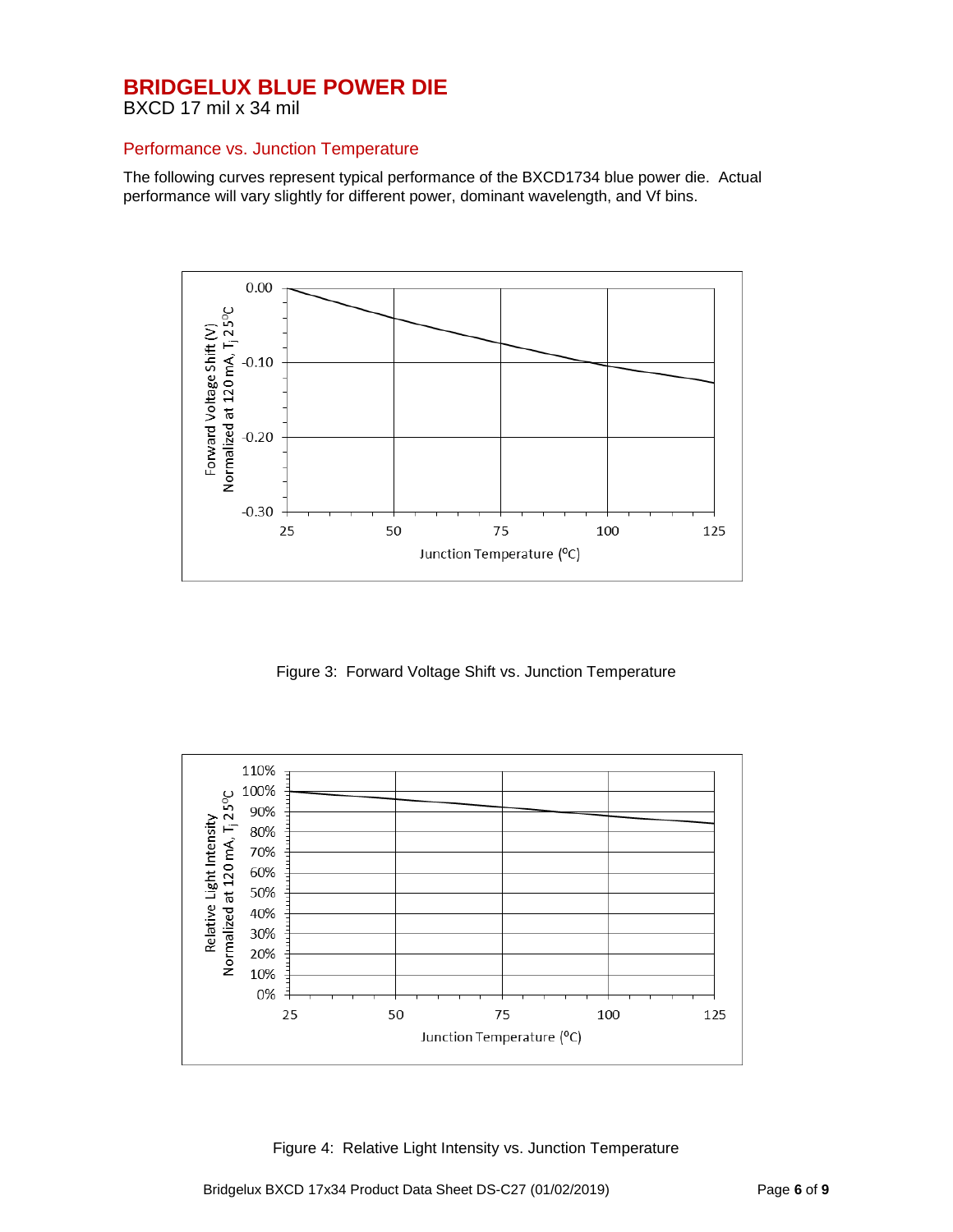BXCD 17 mil x 34 mil

#### Performance vs. Junction Temperature

The following curves represent typical performance of the BXCD1734 blue power die. Actual performance will vary slightly for different power, dominant wavelength, and Vf bins.



Figure 3: Forward Voltage Shift vs. Junction Temperature



Figure 4: Relative Light Intensity vs. Junction Temperature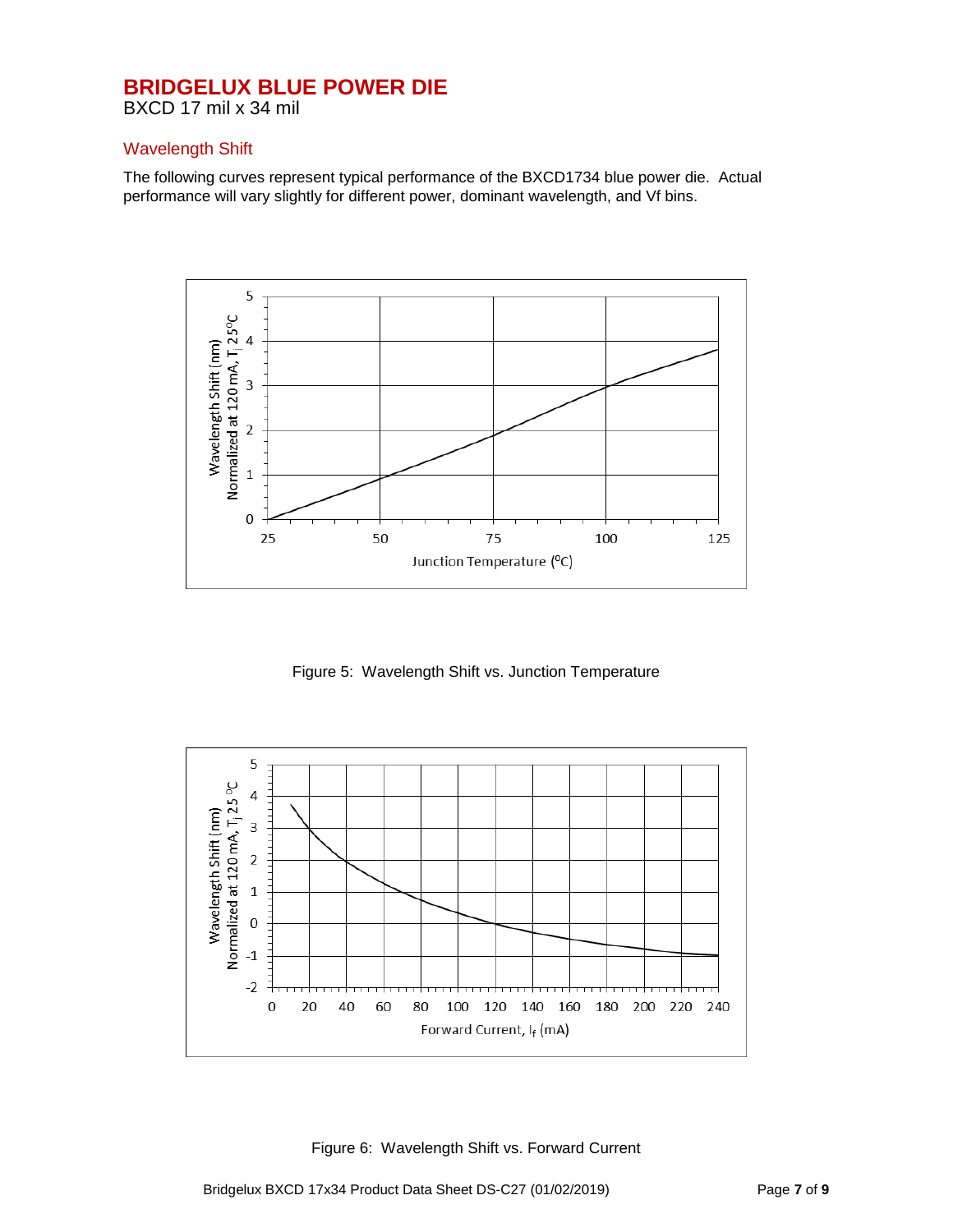BXCD 17 mil x 34 mil

#### Wavelength Shift

The following curves represent typical performance of the BXCD1734 blue power die. Actual performance will vary slightly for different power, dominant wavelength, and Vf bins.



Figure 5: Wavelength Shift vs. Junction Temperature



Figure 6: Wavelength Shift vs. Forward Current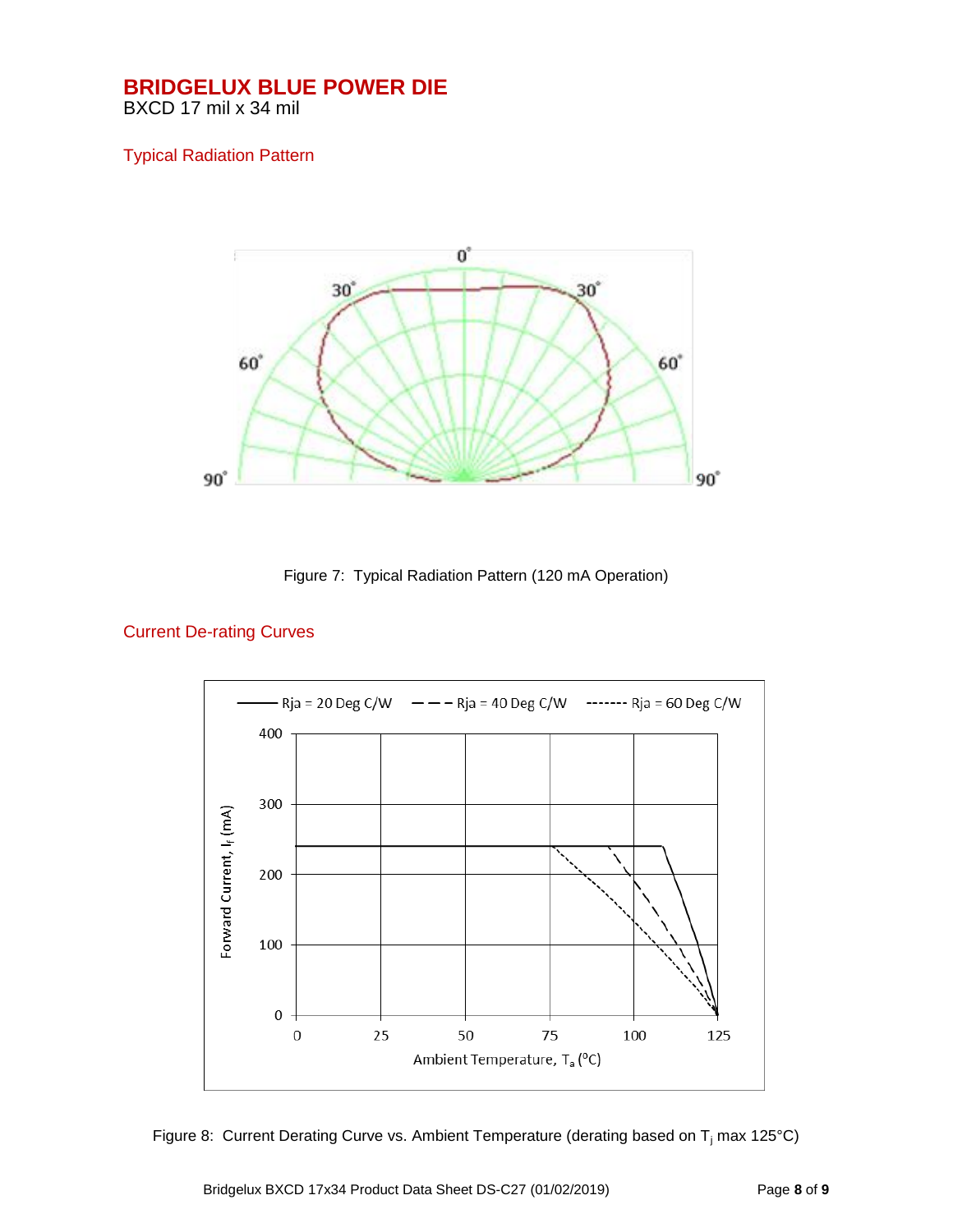## Typical Radiation Pattern



Figure 7: Typical Radiation Pattern (120 mA Operation)

# Current De-rating Curves



Figure 8: Current Derating Curve vs. Ambient Temperature (derating based on  $T_i$  max 125°C)